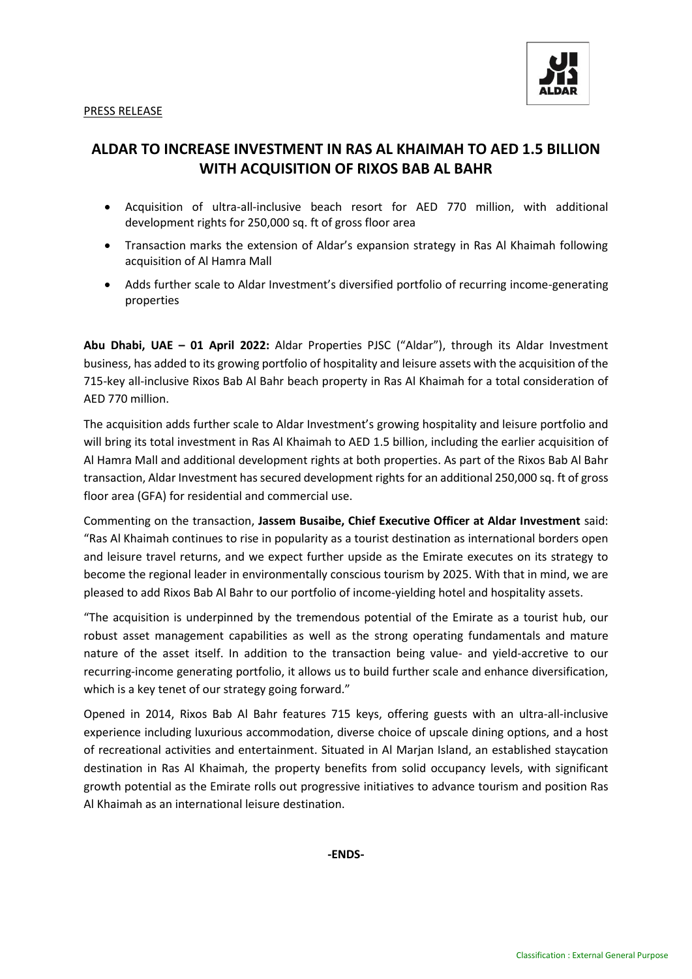

## **ALDAR TO INCREASE INVESTMENT IN RAS AL KHAIMAH TO AED 1.5 BILLION WITH ACQUISITION OF RIXOS BAB AL BAHR**

- Acquisition of ultra-all-inclusive beach resort for AED 770 million, with additional development rights for 250,000 sq. ft of gross floor area
- Transaction marks the extension of Aldar's expansion strategy in Ras Al Khaimah following acquisition of Al Hamra Mall
- Adds further scale to Aldar Investment's diversified portfolio of recurring income-generating properties

**Abu Dhabi, UAE – 01 April 2022:** Aldar Properties PJSC ("Aldar"), through its Aldar Investment business, has added to its growing portfolio of hospitality and leisure assets with the acquisition of the 715-key all-inclusive Rixos Bab Al Bahr beach property in Ras Al Khaimah for a total consideration of AED 770 million.

The acquisition adds further scale to Aldar Investment's growing hospitality and leisure portfolio and will bring its total investment in Ras Al Khaimah to AED 1.5 billion, including the earlier acquisition of Al Hamra Mall and additional development rights at both properties. As part of the Rixos Bab Al Bahr transaction, Aldar Investment has secured development rights for an additional 250,000 sq. ft of gross floor area (GFA) for residential and commercial use.

Commenting on the transaction, **Jassem Busaibe, Chief Executive Officer at Aldar Investment** said: "Ras Al Khaimah continues to rise in popularity as a tourist destination as international borders open and leisure travel returns, and we expect further upside as the Emirate executes on its strategy to become the regional leader in environmentally conscious tourism by 2025. With that in mind, we are pleased to add Rixos Bab Al Bahr to our portfolio of income-yielding hotel and hospitality assets.

"The acquisition is underpinned by the tremendous potential of the Emirate as a tourist hub, our robust asset management capabilities as well as the strong operating fundamentals and mature nature of the asset itself. In addition to the transaction being value- and yield-accretive to our recurring-income generating portfolio, it allows us to build further scale and enhance diversification, which is a key tenet of our strategy going forward."

Opened in 2014, Rixos Bab Al Bahr features 715 keys, offering guests with an ultra-all-inclusive experience including luxurious accommodation, diverse choice of upscale dining options, and a host of recreational activities and entertainment. Situated in Al Marjan Island, an established staycation destination in Ras Al Khaimah, the property benefits from solid occupancy levels, with significant growth potential as the Emirate rolls out progressive initiatives to advance tourism and position Ras Al Khaimah as an international leisure destination.

**-ENDS-**